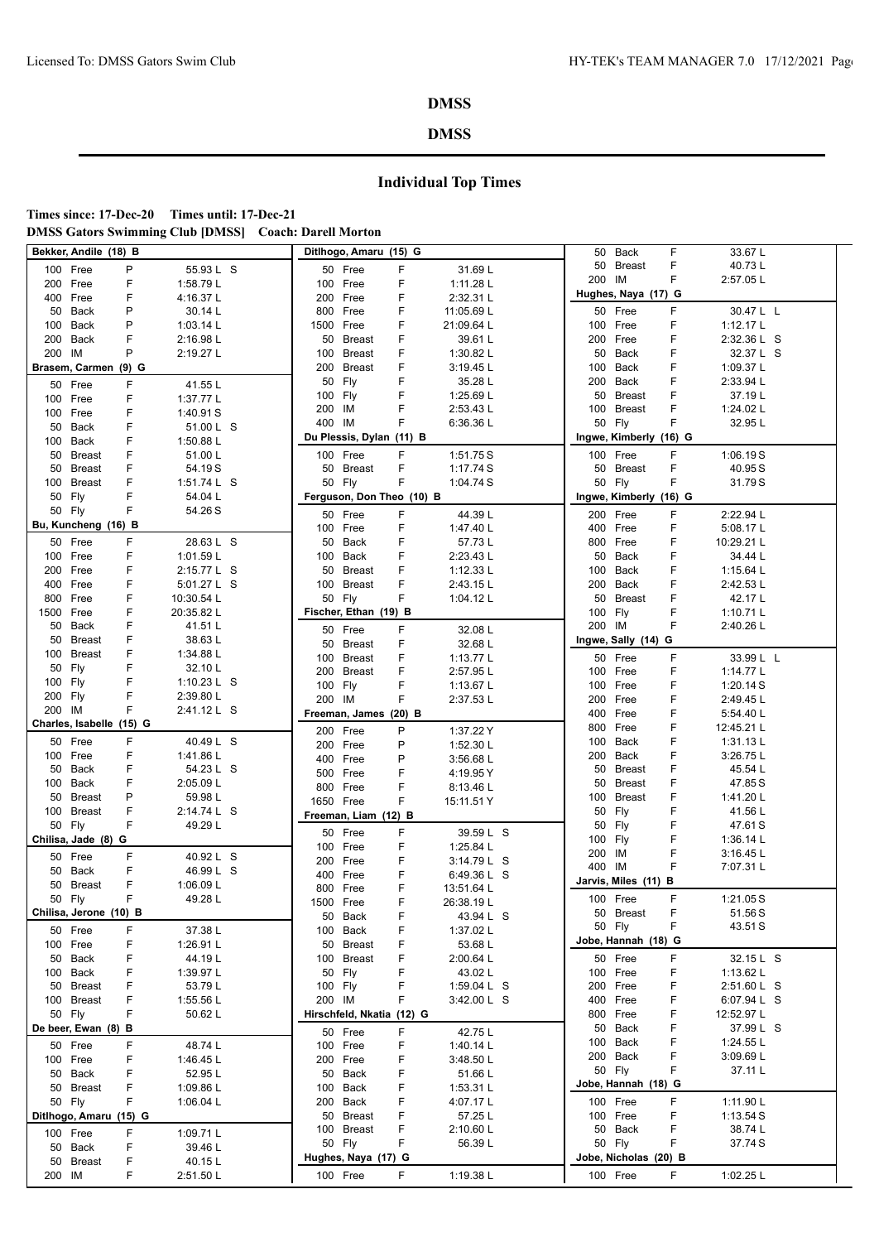### **DMSS**

**Times since: 17-Dec-20 Times until: 17-Dec-21 DMSS Gators Swimming Club [DMSS] Coach: Darell Morton**

|           | Bekker, Andile (18) B    |         |                    |                           | Ditlhogo, Amaru (15) G   |                           |             | 50                  | Back                              | F      | 33.67L      |  |
|-----------|--------------------------|---------|--------------------|---------------------------|--------------------------|---------------------------|-------------|---------------------|-----------------------------------|--------|-------------|--|
|           | 100 Free                 | P       | 55.93 L S          | 50 Free                   |                          | F                         | 31.69L      | 50                  | <b>Breast</b>                     | F      | 40.73L      |  |
|           | 200 Free                 | F       | 1:58.79 L          | 100 Free                  |                          | F                         | 1:11.28 L   | 200 IM              |                                   | F      | 2:57.05 L   |  |
|           | 400 Free                 | F       | 4:16.37L           | 200 Free                  |                          | F                         | 2:32.31 L   |                     | Hughes, Naya (17) G               |        |             |  |
| 50        | Back                     | P       | 30.14 L            | 800 Free                  |                          | F                         | 11:05.69 L  |                     | 50 Free                           | F      | 30.47 L L   |  |
|           | 100 Back                 | P       | 1:03.14 L          | 1500 Free                 |                          | F                         | 21:09.64 L  |                     | 100 Free                          | F      | 1:12.17L    |  |
|           | 200 Back                 | F       | 2:16.98 L          |                           | 50 Breast                | F                         | 39.61 L     | 200                 | Free                              | F      | 2:32.36 L S |  |
|           |                          | P       |                    | 100 Breast                |                          | F                         |             | 50                  | Back                              | F      | 32.37 L S   |  |
| 200 IM    |                          |         | 2:19.27 L          |                           |                          |                           | 1:30.82 L   |                     |                                   | F      |             |  |
|           | Brasem, Carmen           | $(9)$ G |                    | 200                       | Breast                   | F                         | 3:19.45 L   | 100                 | Back                              |        | 1:09.37 L   |  |
|           | 50 Free                  | F       | 41.55L             | 50 Fly                    |                          | F                         | 35.28 L     | 200                 | Back                              | F      | 2:33.94 L   |  |
|           | 100 Free                 | F       | 1:37.77 L          | 100 Fly                   |                          | F                         | 1:25.69 L   | 50                  | <b>Breast</b>                     | F      | 37.19L      |  |
|           | 100 Free                 | F       | 1:40.91 S          | 200 IM                    |                          | F                         | 2:53.43 L   | 100                 | <b>Breast</b>                     | F      | 1:24.02 L   |  |
| 50        | Back                     | F       | 51.00 L S          | 400 IM                    |                          | F                         | 6:36.36 L   |                     | 50 Fly                            | F      | 32.95L      |  |
|           | 100 Back                 | F       | 1:50.88 L          |                           | Du Plessis, Dylan (11) B |                           |             |                     | Ingwe, Kimberly (16) G            |        |             |  |
|           | 50 Breast                | F       | 51.00L             | 100 Free                  |                          | F                         | 1:51.75S    |                     | 100 Free                          | F      | 1:06.19S    |  |
| 50        | Breast                   | F       | 54.19S             |                           | 50 Breast                | F                         | 1:17.74 S   | 50                  | <b>Breast</b>                     | F      | 40.95 S     |  |
| 100       | Breast                   | F       | 1:51.74 $L$ S      | 50 Fly                    |                          | F                         | 1:04.74 S   |                     | 50 Fly                            | F      | 31.79S      |  |
|           | 50 Fly                   | F       | 54.04 L            |                           |                          | Ferguson, Don Theo (10) B |             |                     | Ingwe, Kimberly (16) G            |        |             |  |
|           | 50 Fly                   | F       | 54.26 S            |                           |                          |                           |             |                     |                                   |        |             |  |
|           | Bu, Kuncheng (16) B      |         |                    | 50 Free                   |                          | F                         | 44.39L      |                     | 200 Free                          | F<br>F | 2:22.94 L   |  |
|           |                          |         |                    | 100 Free                  |                          | F                         | 1:47.40 L   | 400                 | Free                              |        | 5:08.17L    |  |
|           | 50 Free                  | F       | 28.63 L S          | 50 Back                   |                          | F                         | 57.73L      | 800                 | Free                              | F      | 10:29.21 L  |  |
|           | 100 Free                 | F       | 1:01.59 L          | 100 Back                  |                          | F                         | 2:23.43 L   | 50                  | Back                              | F      | 34.44 L     |  |
|           | 200 Free                 | F       | 2:15.77 L S        |                           | 50 Breast                | F                         | 1:12.33 L   | 100                 | Back                              | F      | 1:15.64 L   |  |
|           | 400 Free                 | F       | 5:01.27 L S        | 100                       | Breast                   | F                         | 2:43.15 L   | 200                 | Back                              | F      | 2:42.53 L   |  |
| 800       | Free                     | F       | 10:30.54 L         | 50 Fly                    |                          | F                         | 1:04.12 $L$ | 50                  | <b>Breast</b>                     | F      | 42.17L      |  |
| 1500 Free |                          | F       | 20:35.82 L         |                           | Fischer, Ethan (19) B    |                           |             | 100 Fly             |                                   | F      | 1:10.71 $L$ |  |
| 50        | Back                     | F       | 41.51L             | 50 Free                   |                          | F                         | 32.08 L     | 200 IM              |                                   | F      | 2:40.26 L   |  |
| 50        | Breast                   | F       | 38.63L             |                           | 50 Breast                | F                         | 32.68 L     |                     | Ingwe, Sally (14) G               |        |             |  |
|           | 100 Breast               | F       | 1:34.88 L          | 100 Breast                |                          | F                         | 1:13.77 L   |                     | 50 Free                           | F      | 33.99 L L   |  |
|           | 50 Fly                   | F       | 32.10L             | 200                       | Breast                   | F                         | 2:57.95 L   |                     | 100 Free                          | F      | 1:14.77 L   |  |
| 100 Fly   |                          | F       | 1:10.23 $L$ S      | 100 Fly                   |                          | F                         | 1:13.67 L   | 100                 | Free                              | F      | 1:20.14S    |  |
| 200 Fly   |                          | F       | 2:39.80 L          | 200 IM                    |                          | F                         | 2:37.53 L   | 200                 | Free                              | F      | 2:49.45 L   |  |
| 200 IM    |                          | F       | 2:41.12 L S        |                           | Freeman, James (20) B    |                           |             | 400                 | Free                              | F      | 5:54.40 L   |  |
|           | Charles, Isabelle (15) G |         |                    |                           |                          |                           |             | 800                 | Free                              | F      | 12:45.21 L  |  |
|           | 50 Free                  | F       | 40.49 L S          | 200 Free                  |                          | P                         | 1:37.22 Y   | 100                 | Back                              | F      | 1:31.13L    |  |
|           |                          | F       |                    | 200 Free                  |                          | P                         | 1:52.30 L   |                     |                                   | F      |             |  |
|           | 100 Free                 |         | 1:41.86 L          | 400 Free                  |                          | P                         | 3:56.68 L   | 200                 | Back                              |        | 3:26.75 L   |  |
|           | 50 Back                  | F       | 54.23 L S          | 500 Free                  |                          | F                         | 4:19.95 Y   | 50                  | <b>Breast</b>                     | F      | 45.54 L     |  |
|           | 100 Back                 | F       | 2:05.09 L          | 800 Free                  |                          | F                         | 8:13.46 L   | 50                  | <b>Breast</b>                     | F      | 47.85 S     |  |
|           | 50 Breast                | P       | 59.98 L            | 1650 Free                 |                          | F                         | 15:11.51 Y  | 100                 | <b>Breast</b>                     | F      | 1:41.20 L   |  |
|           | 100 Breast               | F       | 2:14.74 L S        |                           | Freeman, Liam (12) B     |                           |             | 50                  | Fly                               | F      | 41.56 L     |  |
|           | 50 Fly                   | F       | 49.29L             | 50 Free                   |                          | F                         | 39.59 L S   | 50                  | Fly                               | F      | 47.61 S     |  |
|           | Chilisa, Jade (8) G      |         |                    | 100 Free                  |                          | F                         | 1:25.84 L   | 100 Fly             |                                   | F      | 1:36.14 L   |  |
|           | 50 Free                  | F       | 40.92 L S          | 200 Free                  |                          | F                         | 3:14.79 L S | 200 IM              |                                   | F      | 3:16.45 L   |  |
|           | 50 Back                  | F       | 46.99 L S          | 400 Free                  |                          | F                         | 6:49.36 L S | 400 IM              |                                   | F      | 7:07.31 L   |  |
| 50        | Breast                   | F       | 1:06.09 L          | 800 Free                  |                          | F                         | 13:51.64 L  |                     | Jarvis, Miles (11) B              |        |             |  |
|           | 50 Fly                   | F       | 49.28L             | 1500 Free                 |                          | F                         | 26:38.19L   |                     | 100 Free                          | F      | 1:21.05 S   |  |
|           | Chilisa, Jerone (10) B   |         |                    |                           |                          | F                         |             |                     | 50 Breast                         | F      | 51.56 S     |  |
|           |                          | F       |                    | 50 Back                   |                          |                           | 43.94 L S   |                     | 50 Fly                            | F      | 43.51 S     |  |
|           | 50 Free                  |         | 37.38 L            | 100 Back                  |                          | F                         | 1:37.02 L   |                     |                                   |        |             |  |
|           |                          |         |                    |                           |                          |                           |             |                     |                                   |        |             |  |
|           | 100 Free                 | F       | 1:26.91L           |                           | 50 Breast                | F                         | 53.68 L     | Jobe, Hannah (18) G |                                   |        |             |  |
|           | 50 Back                  | F       | 44.19 L            | 100 Breast                |                          | F                         | 2:00.64 L   |                     | 50 Free                           | F      | 32.15 L S   |  |
|           | 100 Back                 | F       | 1:39.97L           | 50 Fly                    |                          | F                         | 43.02L      |                     | 100 Free                          | F      | 1:13.62 L   |  |
|           | 50 Breast                | F       | 53.79L             | 100 Fly                   |                          | F                         | 1:59.04 L S |                     | 200 Free                          | F      | 2:51.60 L S |  |
|           | 100 Breast               | F       | 1:55.56 L          | 200 IM                    |                          | F                         | 3:42.00 L S |                     | 400 Free                          | F      | 6:07.94 L S |  |
|           | 50 Fly                   | F       | 50.62L             | Hirschfeld, Nkatia (12) G |                          |                           |             | 800                 | Free                              | F      | 12:52.97 L  |  |
|           | De beer, Ewan (8) B      |         |                    | 50 Free                   |                          | F                         | 42.75L      | 50                  | Back                              | F      | 37.99 L S   |  |
|           | 50 Free                  | F       | 48.74L             | 100 Free                  |                          | F                         | 1:40.14 L   | 100                 | Back                              | F      | 1:24.55 L   |  |
|           | 100 Free                 | F       |                    | 200 Free                  |                          | F                         |             |                     | 200 Back                          | F      | 3:09.69 L   |  |
|           |                          |         | 1:46.45L           |                           |                          |                           | 3:48.50 L   |                     | 50 Fly                            | F      | 37.11 L     |  |
|           | 50 Back                  | F       | 52.95L             | 50 Back<br>100 Back       |                          | F                         | 51.66 L     |                     | Jobe, Hannah (18) G               |        |             |  |
|           | 50 Breast                | F       | 1:09.86 L          |                           |                          | F                         | 1:53.31 L   |                     |                                   |        |             |  |
|           | 50 Fly                   | F       | 1:06.04 L          | 200 Back                  |                          | F                         | 4:07.17L    |                     | 100 Free                          | F      | 1:11.90 L   |  |
|           | Ditlhogo, Amaru (15) G   |         |                    |                           | 50 Breast                | F                         | 57.25 L     |                     | 100 Free                          | F      | 1:13.54S    |  |
|           | 100 Free                 | F       | 1:09.71 L          | 100 Breast                |                          | F                         | 2:10.60 L   |                     | 50 Back                           | F      | 38.74 L     |  |
|           | 50 Back                  | F       | 39.46 L            | 50 Fly                    |                          | F                         | 56.39L      |                     | 50 Fly                            | F      | 37.74 S     |  |
| 200 IM    | 50 Breast                | F<br>F  | 40.15L<br>2:51.50L | 100 Free                  | Hughes, Naya (17) G      | F                         | 1:19.38 L   |                     | Jobe, Nicholas (20) B<br>100 Free | F.     | 1:02.25 L   |  |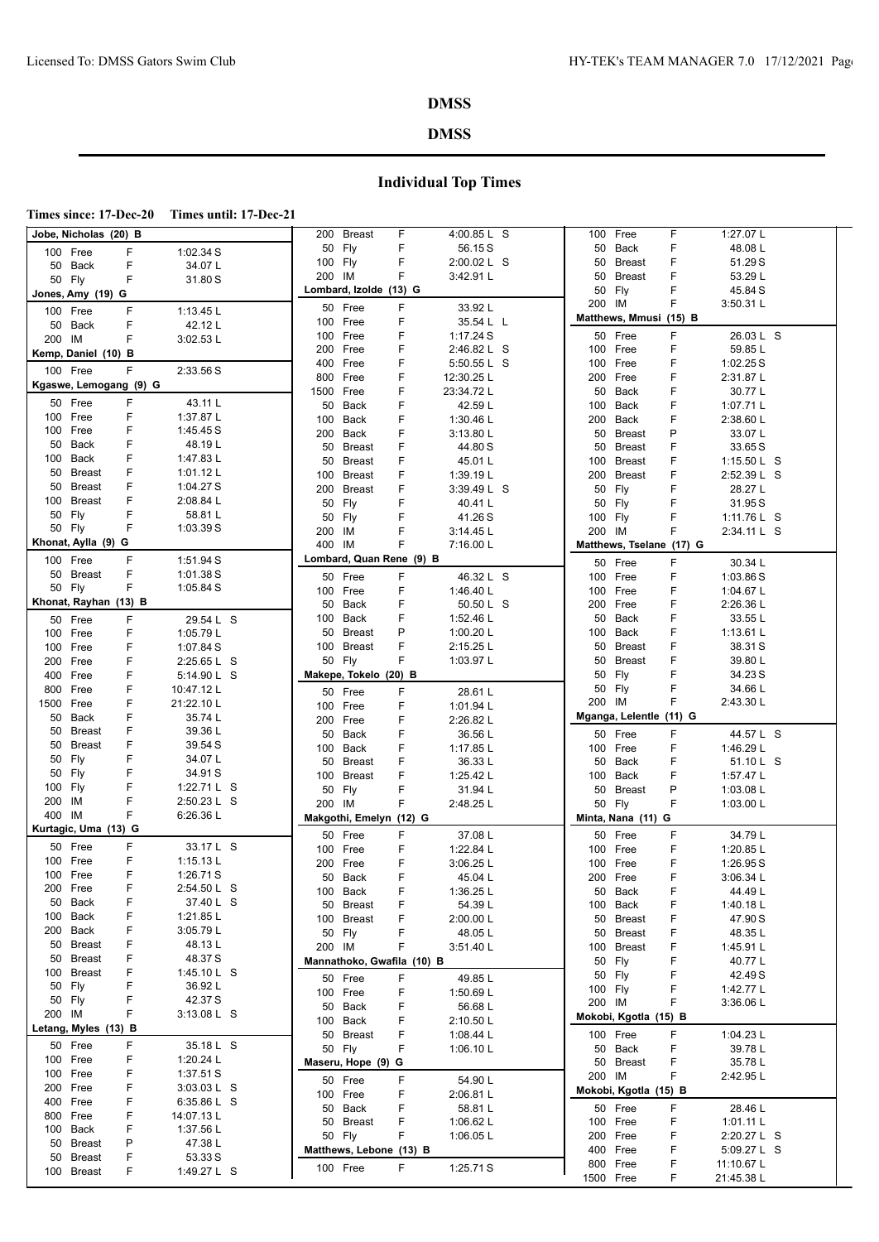### **DMSS**

## **Individual Top Times**

**Times since: 17-Dec-20 Times until: 17-Dec-21**

| Jobe, Nicholas  (20) B                | 200 Breast                 | F  | 4:00.85 L S |           | 100 Free              | F                        | 1:27.07 L                |  |
|---------------------------------------|----------------------------|----|-------------|-----------|-----------------------|--------------------------|--------------------------|--|
| F<br>1:02.34 S<br>100 Free            | 50 Fly                     | F  | 56.15 S     |           | 50 Back               | F                        | 48.08 L                  |  |
| F<br>34.07L<br>50 Back                | 100 Fly                    | F  | 2:00.02 L S |           | 50 Breast             | F                        | 51.29S                   |  |
| F<br>50 Fly<br>31.80 S                | 200 IM                     | F  | 3:42.91L    | 50        | Breast                | F                        | 53.29 L                  |  |
| Jones, Amy (19) G                     | Lombard, Izolde (13) G     |    |             |           | 50 Fly                | F                        | 45.84 S                  |  |
|                                       | 50 Free                    | F  | 33.92L      | 200 IM    |                       | F                        | 3:50.31 L                |  |
| 100 Free<br>F<br>1:13.45 L            | 100 Free                   | F  | 35.54 L L   |           |                       | Matthews, Mmusi (15) B   |                          |  |
| 50 Back<br>F<br>42.12L                | 100 Free                   | F  | 1:17.24 S   |           | 50 Free               | F                        | 26.03 L S                |  |
| F<br>200 IM<br>3:02.53 L              | 200 Free                   | F  | 2:46.82 L S |           | 100 Free              | F                        | 59.85 L                  |  |
| Kemp, Daniel (10) B                   | 400 Free                   | F  |             |           | 100 Free              | F                        |                          |  |
| F<br>100 Free<br>2:33.56 S            | 800 Free                   | F  | 5:50.55 L S |           | 200 Free              | F                        | 1:02.25S                 |  |
| Kgaswe, Lemogang (9) G                |                            |    | 12:30.25 L  |           | 50 Back               |                          | 2:31.87 L                |  |
| 50 Free<br>F<br>43.11 L               | 1500 Free                  | F  | 23:34.72 L  |           |                       | F                        | 30.77L                   |  |
| F<br>1:37.87 L<br>100 Free            | 50 Back                    | F  | 42.59 L     |           | 100 Back              | F                        | 1:07.71 L                |  |
| F<br>1:45.45 S<br>100 Free            | 100 Back                   | F  | 1:30.46 L   |           | 200 Back              | F                        | 2:38.60 L                |  |
| F<br>50<br>Back<br>48.19L             | 200 Back                   | F  | 3:13.80 L   |           | 50 Breast             | P                        | 33.07L                   |  |
| 100 Back<br>F<br>1:47.83 L            | 50 Breast                  | F  | 44.80 S     |           | 50 Breast             | F                        | 33.65 S                  |  |
| F                                     | 50 Breast                  | F  | 45.01L      |           | 100 Breast            | F                        | 1:15.50 $L$ S            |  |
| 50<br><b>Breast</b><br>1:01.12 $L$    | 100 Breast                 | F  | 1:39.19 L   |           | 200 Breast            | F                        | 2:52.39 L S              |  |
| F<br>50<br>Breast<br>1:04.27 S        | 200 Breast                 | F  | 3:39.49 L S | 50 Fly    |                       | F                        | 28.27 L                  |  |
| F<br>100 Breast<br>2:08.84 L          | 50 Fly                     | F  | 40.41 L     |           | 50 Fly                | F                        | 31.95 S                  |  |
| F<br>50 Fly<br>58.81L                 | 50 Fly                     | F  | 41.26 S     | 100 Fly   |                       | F                        | 1:11.76 L S              |  |
| F<br>50 Fly<br>1:03.39S               | 200 IM                     | F  | 3:14.45 L   | 200 IM    |                       | F                        | 2:34.11 L S              |  |
| Khonat, Aylla (9) G                   | 400 IM                     | F  | 7:16.00 L   |           |                       | Matthews, Tselane (17) G |                          |  |
| 100 Free<br>F<br>1:51.94 S            | Lombard, Quan Rene (9) B   |    |             |           | 50 Free               | F                        | 30.34 L                  |  |
| F<br>50 Breast<br>1:01.38S            | 50 Free                    | F  | 46.32 L S   |           | 100 Free              | F                        | 1:03.86 S                |  |
| F<br>50 Fly<br>1:05.84S               | 100 Free                   | F  | 1:46.40 L   |           | 100 Free              | F                        | 1:04.67 L                |  |
| Khonat, Rayhan (13) B                 | 50 Back                    | F  | 50.50 L S   |           | 200 Free              | F                        | 2:26.36 L                |  |
| F                                     | 100 Back                   | F  | 1:52.46 L   |           | 50 Back               | F                        | 33.55 L                  |  |
| 50 Free<br>29.54 L S                  | 50 Breast                  | P  | 1:00.20 L   |           | 100 Back              | F                        | 1:13.61 L                |  |
| F<br>100 Free<br>1:05.79 L            |                            | F  |             |           |                       |                          |                          |  |
| 100 Free<br>F<br>1:07.84 S            | 100 Breast                 |    | 2:15.25 L   |           | 50 Breast             | F                        | 38.31 S                  |  |
| F<br>200<br>Free<br>2:25.65 L S       | 50 Fly                     | F  | 1:03.97 L   |           | 50 Breast             | F                        | 39.80 L                  |  |
| 400<br>Free<br>F<br>5:14.90 L S       | Makepe, Tokelo (20) B      |    |             |           | 50 Fly                | F                        | 34.23 S                  |  |
| F<br>800<br>Free<br>10:47.12 L        | 50 Free                    | F  | 28.61 L     |           | 50 Fly                | F                        | 34.66 L                  |  |
|                                       |                            |    |             |           |                       |                          |                          |  |
| 21:22.10L<br>1500<br>Free<br>F        | 100 Free                   | F  | 1:01.94 L   | 200 IM    |                       | F                        | 2:43.30 L                |  |
| 50<br>F<br>35.74 L<br>Back            | 200 Free                   | F  | 2:26.82 L   |           |                       | Mganga, Lelentle (11) G  |                          |  |
| F<br>39.36 L<br>50 Breast             | 50 Back                    | F  | 36.56 L     |           | 50 Free               | F                        | 44.57 L S                |  |
| F<br>50 Breast<br>39.54 S             | 100 Back                   | F  | 1:17.85 L   |           | 100 Free              | F                        | 1:46.29 L                |  |
| F<br>50 Fly<br>34.07L                 | 50 Breast                  | F  |             |           | 50 Back               | F                        |                          |  |
| 50 Fly<br>F<br>34.91 S                |                            |    | 36.33L      |           |                       |                          | 51.10 L S                |  |
| F<br>1:22.71 L S<br>100 Fly           | 100 Breast                 | F  | 1:25.42 L   |           | 100 Back              | F                        | 1:57.47 L                |  |
| F<br>2:50.23 L S<br>200 IM            | 50 Fly                     | F  | 31.94 L     |           | 50 Breast             | P                        | 1:03.08 L                |  |
| F<br>400 IM                           | 200 IM                     | F  | 2:48.25 L   |           | 50 Fly                | F                        | 1:03.00 $L$              |  |
| 6:26.36 L                             | Makgothi, Emelyn (12) G    |    |             |           | Minta, Nana (11) G    |                          |                          |  |
| Kurtagic, Uma (13) G                  | 50 Free                    | F. | 37.08 L     |           | 50 Free               | F                        | 34.79 L                  |  |
| 50 Free<br>F<br>33.17 L S             | 100 Free                   | F  | 1:22.84 L   |           | 100 Free              | F                        | 1:20.85 L                |  |
| F<br>100 Free<br>1:15.13 L            | 200 Free                   | F  | 3:06.25 L   |           | 100 Free              | F                        | 1:26.95S                 |  |
| F<br>100 Free<br>1:26.71S             | 50 Back                    | F  | 45.04 L     |           | 200 Free              | F                        | 3:06.34 L                |  |
| 200 Free<br>F<br>2:54.50 L S          | 100 Back                   | F  | 1:36.25L    |           | 50 Back               | F                        | 44.49 L                  |  |
| 37.40 L S<br>50 Back<br>F             | 50 Breast                  | F  | 54.39 L     |           | 100 Back              | F                        | 1:40.18 L                |  |
| 100 Back<br>1:21.85 L                 | 100 Breast                 | F  | 2:00.00 L   |           | 50 Breast             | F                        | 47.90 S                  |  |
| 200 Back<br>3:05.79 L                 | 50 Fly                     | F  | 48.05 L     |           | 50 Breast             | F                        | 48.35 L                  |  |
| 50 Breast<br>F<br>48.13L              | 200 IM                     | F  | 3:51.40 L   |           | 100 Breast            | F                        | 1:45.91 L                |  |
| 48.37 S<br>50 Breast<br>F             | Mannathoko, Gwafila (10) B |    |             |           | 50 Fly                | F                        | 40.77 L                  |  |
| 100 Breast<br>F<br>1:45.10 $\sf{L}$ S |                            |    |             |           | 50 Fly                | F                        | 42.49 S                  |  |
| 50 Fly<br>F<br>36.92L                 | 50 Free                    | F  | 49.85L      | 100 Fly   |                       | F                        |                          |  |
| 42.37 S<br>50 Fly<br>F                | 100 Free                   | F  | 1:50.69 L   |           |                       |                          | 1:42.77 L                |  |
| 200 IM<br>F<br>3:13.08 L S            | 50 Back                    | F  | 56.68 L     | 200 IM    |                       | F                        | 3:36.06 L                |  |
| Letang, Myles (13) B                  | 100 Back                   | F  | 2:10.50 L   |           | Mokobi, Kgotla (15) B |                          |                          |  |
|                                       | 50 Breast                  | F  | 1:08.44 L   |           | 100 Free              | F                        | 1:04.23 L                |  |
| F<br>50 Free<br>35.18 L S             | 50 Fly                     | F  | 1:06.10 $L$ |           | 50 Back               | F                        | 39.78 L                  |  |
| 100 Free<br>F<br>1:20.24 L            | Maseru, Hope (9) G         |    |             |           | 50 Breast             | F                        | 35.78 L                  |  |
| 100 Free<br>F<br>1:37.51S             | 50 Free                    | F  | 54.90L      | 200 IM    |                       | F                        | 2:42.95 L                |  |
| 200 Free<br>F<br>3:03.03 L S          | 100 Free                   | F  | 2:06.81L    |           | Mokobi, Kgotla (15) B |                          |                          |  |
| 400 Free<br>F<br>6:35.86 L S          | 50 Back                    | F  | 58.81 L     |           | 50 Free               | F                        | 28.46 L                  |  |
| F<br>800 Free<br>14:07.13 L           | 50 Breast                  | F  | 1:06.62 $L$ |           | 100 Free              | F                        | 1:01.11 L                |  |
| 100 Back<br>F<br>1:37.56 L            | 50 Fly                     | F  | 1:06.05 $L$ |           | 200 Free              | F                        | 2:20.27 L S              |  |
| 50 Breast<br>Ρ<br>47.38 L             |                            |    |             |           | 400 Free              | F                        |                          |  |
| 53.33 S<br>50 Breast<br>F             | Matthews, Lebone (13) B    |    |             |           | 800 Free              | F                        | 5:09.27 L S              |  |
| 100 Breast<br>F<br>1:49.27 L S        | 100 Free                   | F. | 1:25.71S    | 1500 Free |                       | F                        | 11:10.67 L<br>21:45.38 L |  |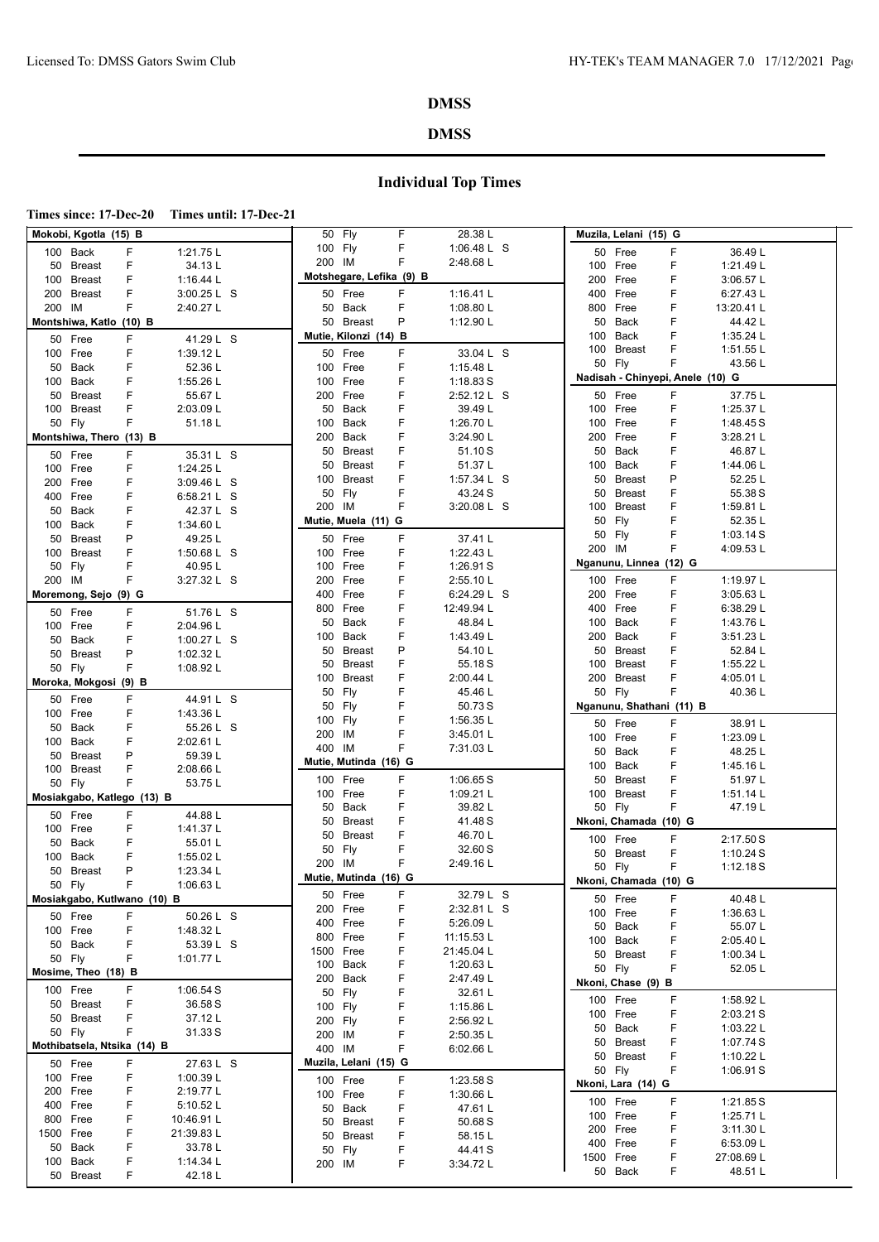#### **DMSS**

## **Individual Top Times**

**Times since: 17-Dec-20 Times until: 17-Dec-21**

|     | Mokobi, Kgotla (15) B       |    |             |           | 50 Fly                   | F | 28.38 L       |           | Muzila, Lelani (15) G            |    |             |  |
|-----|-----------------------------|----|-------------|-----------|--------------------------|---|---------------|-----------|----------------------------------|----|-------------|--|
|     | 100 Back                    | F  | 1:21.75 L   | 100 Fly   |                          | F | 1:06.48 L S   |           | 50 Free                          | F  | 36.49L      |  |
|     | 50 Breast                   | F  | 34.13L      | 200 IM    |                          | F | 2:48.68 L     |           | 100 Free                         | F  | 1:21.49 L   |  |
|     | 100 Breast                  | F  | 1:16.44 $L$ |           | Motshegare, Lefika (9) B |   |               |           | 200 Free                         | F. | 3:06.57 L   |  |
|     | 200 Breast                  | F  | 3:00.25 L S |           | 50 Free                  | F | 1:16.41 $L$   |           | 400 Free                         | F  | 6:27.43 L   |  |
|     | 200 IM                      | F  | 2:40.27 L   |           | 50 Back                  | F | 1:08.80 L     | 800       | Free                             | F  | 13:20.41 L  |  |
|     | Montshiwa, Katlo (10) B     |    |             |           |                          | P | 1:12.90 L     |           |                                  | F. |             |  |
|     |                             |    |             |           | 50 Breast                |   |               | 50        | Back                             |    | 44.42 L     |  |
|     | 50 Free                     | F  | 41.29 L S   |           | Mutie, Kilonzi (14) B    |   |               |           | 100 Back                         | F  | 1:35.24 L   |  |
|     | 100 Free                    | F  | 1:39.12L    |           | 50 Free                  | F | 33.04 L S     |           | 100 Breast                       | F  | 1:51.55 L   |  |
|     | 50 Back                     | F  | 52.36 L     | 100       | Free                     | F | 1:15.48 L     | 50 Fly    |                                  | F  | 43.56 L     |  |
|     | 100 Back                    | F  | 1:55.26 L   | 100       | Free                     | F | 1:18.83S      |           | Nadisah - Chinyepi, Anele (10) G |    |             |  |
|     | 50 Breast                   | F  | 55.67 L     | 200       | Free                     | F | 2:52.12 L S   |           | 50 Free                          | F  | 37.75L      |  |
|     | 100 Breast                  | F  | 2:03.09 L   | 50        | Back                     | F | 39.49L        |           | 100 Free                         | F  | 1:25.37 L   |  |
|     | 50 Fly                      | F  | 51.18L      | 100       | Back                     | F | 1:26.70 L     |           | 100 Free                         | F  | 1:48.45 S   |  |
|     | Montshiwa, Thero (13) B     |    |             | 200       | Back                     | F | 3:24.90 L     |           | 200 Free                         | F  | 3:28.21 L   |  |
|     |                             |    |             | 50        | <b>Breast</b>            | F | 51.10 S       | 50        | Back                             | F  | 46.87L      |  |
|     | 50 Free                     | F  | 35.31 L S   | 50        | <b>Breast</b>            | F | 51.37L        |           | 100 Back                         | F  | 1:44.06 L   |  |
|     | 100 Free                    | F  | 1:24.25 L   |           |                          | F |               |           |                                  |    |             |  |
|     | 200 Free                    | F  | 3:09.46 L S | 100       | <b>Breast</b>            |   | 1:57.34 $L$ S | 50        | Breast                           | Ρ  | 52.25 L     |  |
|     | 400 Free                    | F  | 6:58.21 L S | 50        | Fly                      | F | 43.24 S       |           | 50 Breast                        | F  | 55.38 S     |  |
|     | 50 Back                     | F  | 42.37 L S   | 200 IM    |                          | F | 3:20.08 L S   |           | 100 Breast                       | F  | 1:59.81 L   |  |
|     | 100 Back                    | F  | 1:34.60 L   |           | Mutie, Muela (11) G      |   |               | 50 Fly    |                                  | F  | 52.35L      |  |
| 50  | Breast                      | P  | 49.25L      |           | 50 Free                  | F | 37.41 L       | 50 Fly    |                                  | F  | 1:03.14S    |  |
|     | 100 Breast                  | F  | 1:50.68 L S | 100       | Free                     | F | 1:22.43 L     | 200 IM    |                                  | F  | 4:09.53 L   |  |
|     | 50 Fly                      | F  | 40.95L      | 100       | Free                     | F | 1:26.91 S     |           | Nganunu, Linnea (12) G           |    |             |  |
|     | 200 IM                      | F. | 3:27.32 L S | 200       | Free                     | F | 2:55.10 L     |           | 100 Free                         | F. | 1:19.97L    |  |
|     |                             |    |             |           |                          |   |               |           |                                  |    |             |  |
|     | Moremong, Sejo (9) G        |    |             |           | 400 Free                 | F | 6:24.29 L S   |           | 200 Free                         | F  | 3:05.63 L   |  |
|     | 50 Free                     | F  | 51.76 L S   | 800       | Free                     | F | 12:49.94 L    |           | 400 Free                         | F  | 6:38.29 L   |  |
|     | 100 Free                    | F  | 2:04.96 L   | 50        | Back                     | F | 48.84 L       | 100       | Back                             | F  | 1:43.76 L   |  |
|     | 50 Back                     | F  | 1:00.27 L S | 100       | Back                     | F | 1:43.49 L     |           | 200 Back                         | F  | 3:51.23 L   |  |
| 50  | Breast                      | P  | 1:02.32 L   | 50        | <b>Breast</b>            | P | 54.10L        |           | 50 Breast                        | F  | 52.84 L     |  |
|     | 50 Fly                      | F  | 1:08.92 L   | 50        | <b>Breast</b>            | F | 55.18S        |           | 100 Breast                       | F  | 1:55.22 L   |  |
|     | Moroka, Mokgosi (9) B       |    |             | 100       | <b>Breast</b>            | F | 2:00.44 L     |           | 200 Breast                       | F  | 4:05.01 L   |  |
|     |                             |    |             | 50        | Fly                      | F | 45.46 L       | 50 Fly    |                                  | F  | 40.36 L     |  |
|     | 50 Free                     | F  | 44.91 L S   | 50        | Fly                      | F | 50.73 S       |           | Nganunu, Shathani (11) B         |    |             |  |
|     | 100 Free                    | F  | 1:43.36 L   | 100       | Fly                      | F | 1:56.35 L     |           |                                  |    |             |  |
|     | 50 Back                     | F  | 55.26 L S   |           |                          | F |               |           | 50 Free                          | F  | 38.91L      |  |
|     | 100 Back                    | F  | 2:02.61 L   | 200       | IM                       |   | 3:45.01 L     |           | 100 Free                         | F  | 1:23.09 L   |  |
| 50  | Breast                      | P  | 59.39L      | 400       | ΙM                       | F | 7:31.03 L     | 50        | Back                             | F  | 48.25L      |  |
|     | 100 Breast                  | F  | 2:08.66 L   |           | Mutie, Mutinda (16) G    |   |               |           | 100 Back                         | F  | 1:45.16 L   |  |
|     | 50 Fly                      | F  | 53.75L      |           | 100 Free                 | F | 1:06.65S      |           | 50 Breast                        | F  | 51.97L      |  |
|     | Mosiakgabo, Katlego (13) B  |    |             |           | 100 Free                 | F | 1:09.21 L     |           | 100 Breast                       | F  | 1:51.14 L   |  |
|     |                             |    |             | 50        | Back                     | F | 39.82 L       | 50 Fly    |                                  | F  | 47.19L      |  |
|     | 50 Free                     | F  | 44.88 L     | 50        | <b>Breast</b>            | F | 41.48 S       |           | Nkoni, Chamada (10) G            |    |             |  |
|     | 100 Free                    | F  | 1:41.37 L   | 50        | <b>Breast</b>            | F | 46.70L        |           |                                  |    |             |  |
| 50  | Back                        | F  | 55.01L      |           |                          | F |               |           | 100 Free                         | F  | 2:17.50 S   |  |
| 100 | Back                        | F  | 1:55.02 L   | 50        | Fly                      |   | 32.60 S       |           | 50 Breast                        | F  | 1:10.24S    |  |
|     | 50 Breast                   | P  | 1:23.34 L   | 200       | ΙM                       | F | 2:49.16L      | 50 Fly    |                                  | F  | 1:12.18S    |  |
|     | 50 Fly                      | F  | 1:06.63 L   |           | Mutie, Mutinda (16) G    |   |               |           | Nkoni, Chamada (10) G            |    |             |  |
|     | Mosiakgabo, Kutlwano (10) B |    |             |           | 50 Free                  | ۲ | 32.79 L S     |           | 50 Free                          | F  | 40.48 L     |  |
|     |                             |    |             |           | 200 Free                 | F | 2:32.81 L S   |           | 100 Free                         | F  | 1:36.63L    |  |
|     | 50 Free                     | F  | 50.26 L S   | 400       | Free                     | F | 5:26.09 L     |           |                                  |    |             |  |
|     | 100 Free                    | F  | 1:48.32L    | 800       | Free                     | F | 11:15.53 L    |           | 50 Back                          | F  | 55.07L      |  |
|     | 50 Back                     | F  | 53.39 L S   | 1500 Free |                          | F | 21:45.04 L    |           | 100 Back                         | F  | 2:05.40 L   |  |
|     | 50 Fly                      | F  | 1:01.77 L   |           | 100 Back                 | F |               |           | 50 Breast                        | F  | 1:00.34 $L$ |  |
|     | Mosime, Theo (18) B         |    |             |           |                          |   | 1:20.63 L     | 50 Fly    |                                  | F  | 52.05 L     |  |
|     | 100 Free                    | F  | 1:06.54 S   | 200       | Back                     | F | 2:47.49 L     |           | Nkoni, Chase (9) B               |    |             |  |
|     |                             |    |             | 50        | Fly                      | F | 32.61 L       |           | 100 Free                         | F  | 1:58.92L    |  |
|     | 50 Breast                   | F  | 36.58 S     | 100       | Fly                      | F | 1:15.86 $L$   |           | 100 Free                         | F  | 2:03.21 S   |  |
|     | 50 Breast                   | F  | 37.12L      | 200       | Fly                      | F | 2:56.92 L     |           |                                  | F  |             |  |
|     | 50 Fly                      | F  | 31.33S      | 200       | IM                       | F | 2:50.35 L     |           | 50 Back                          |    | 1:03.22 $L$ |  |
|     | Mothibatsela, Ntsika (14) B |    |             | 400 IM    |                          | F | 6:02.66 L     |           | 50 Breast                        | F  | 1:07.74 S   |  |
|     | 50 Free                     | F  | 27.63 L S   |           | Muzila, Lelani (15) G    |   |               |           | 50 Breast                        | F  | 1:10.22 L   |  |
|     | 100 Free                    | F  | 1:00.39 L   |           |                          | F |               | 50 Fly    |                                  | F  | 1:06.91 S   |  |
|     | 200 Free                    | F  | 2:19.77L    |           | 100 Free                 |   | 1:23.58 S     |           | Nkoni, Lara (14) G               |    |             |  |
|     |                             |    |             |           | 100 Free                 | F | 1:30.66 L     |           | 100 Free                         | F  | 1:21.85 S   |  |
|     | 400 Free                    | F  | 5:10.52L    | 50        | Back                     | F | 47.61 L       | 100 Free  |                                  | F  | 1:25.71 $L$ |  |
|     | 800 Free                    | F  | 10:46.91 L  | 50        | <b>Breast</b>            | F | 50.68 S       |           | 200 Free                         | F  |             |  |
|     | 1500 Free                   | F  | 21:39.83 L  | 50        | <b>Breast</b>            | F | 58.15L        |           |                                  |    | 3:11.30 L   |  |
|     | 50 Back                     | F  | 33.78L      | 50        | Fly                      | F | 44.41 S       |           | 400 Free                         | F  | 6:53.09 L   |  |
|     | 100 Back                    | F  | 1:14.34 L   | 200 IM    |                          | F | 3:34.72 L     | 1500 Free |                                  | F  | 27:08.69 L  |  |
|     | 50 Breast                   | F  | 42.18L      |           |                          |   |               |           | 50 Back                          | F  | 48.51L      |  |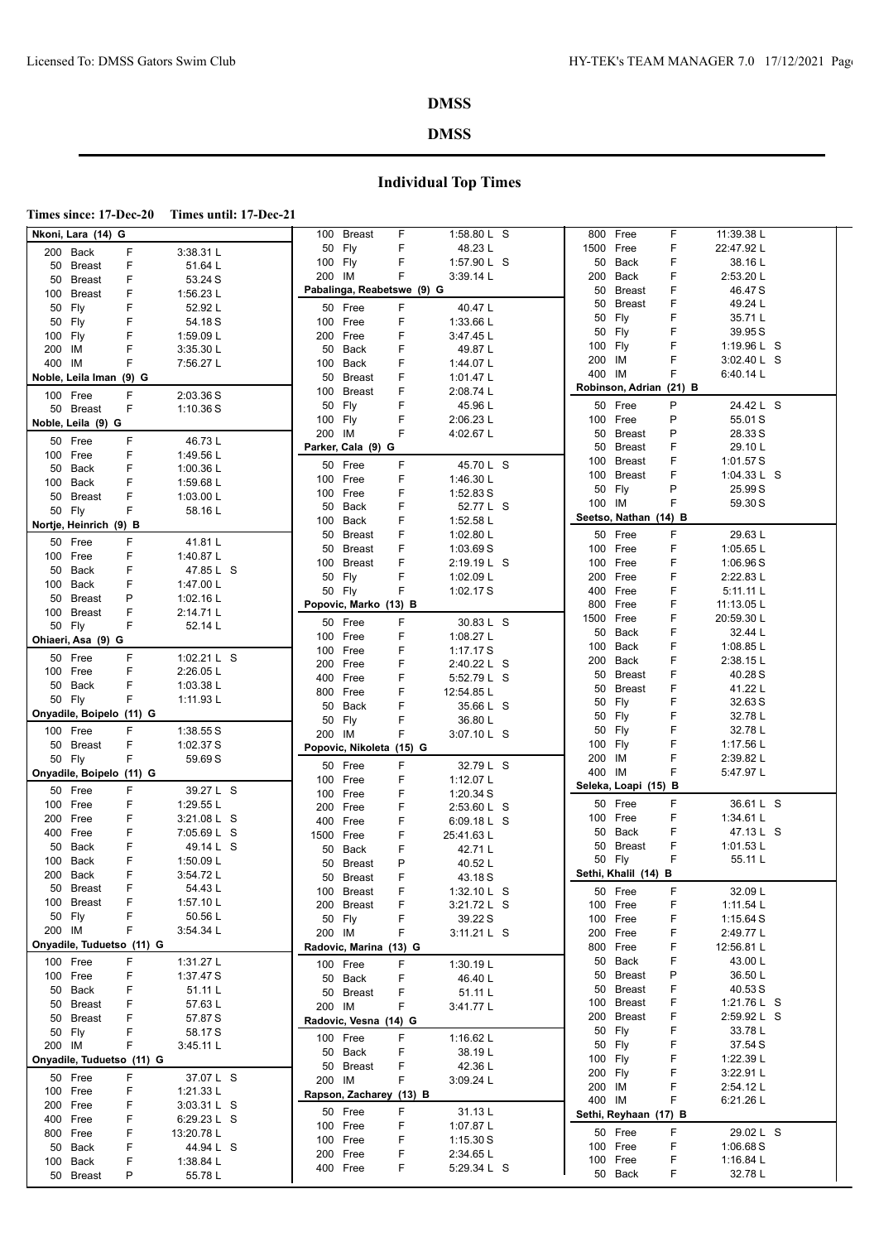#### **DMSS**

#### **DMSS**

|--|

|                                                  | 100 Breast<br>F<br>1:58.80 L S           | 800 Free<br>11:39.38 L<br>F         |
|--------------------------------------------------|------------------------------------------|-------------------------------------|
| Nkoni, Lara (14) G<br>200 Back<br>F<br>3:38.31 L | F<br>50 Fly<br>48.23 L                   | 1500 Free<br>F<br>22:47.92L         |
| F                                                | 100 Fly<br>F<br>1:57.90 L S              | 50 Back<br>F<br>38.16 L             |
| 51.64 L<br>50 Breast                             | 200 IM<br>F<br>3:39.14 L                 | 200 Back<br>F<br>2:53.20 L          |
| F<br>53.24 S<br>50 Breast                        | Pabalinga, Reabetswe (9) G               | 50 Breast<br>F<br>46.47 S           |
| F<br>1:56.23 L<br>100 Breast                     |                                          | F<br>50 Breast<br>49.24 L           |
| F<br>50 Fly<br>52.92L                            | F<br>40.47L<br>50 Free                   | F<br>50 Fly<br>35.71L               |
| F<br>54.18S<br>50 Fly                            | F<br>100 Free<br>1:33.66 L               |                                     |
| F<br>100 Fly<br>1:59.09 L                        | 200 Free<br>F<br>3:47.45 L               | F<br>39.95 S<br>50 Fly              |
| F<br>3:35.30 L<br>200 IM                         | F<br>49.87L<br>50 Back                   | F<br>100 Fly<br>1:19.96 L S         |
| F<br>400 IM<br>7:56.27 L                         | F<br>1:44.07 L<br>100 Back               | F<br>200 IM<br>3:02.40 L S          |
| Noble, Leila Iman (9) G                          | F<br>50<br>Breast<br>1:01.47 $L$         | 400 IM<br>F<br>6:40.14 L            |
| F<br>100 Free<br>2:03.36 S                       | F<br>Breast<br>2:08.74 L<br>100          | Robinson, Adrian (21) B             |
| F<br>1:10.36S<br>50 Breast                       | F<br>Fly<br>50<br>45.96 L                | P<br>24.42 L S<br>50 Free           |
| Noble, Leila (9) G                               | 100 Fly<br>F<br>2:06.23 L                | 100 Free<br>P<br>55.01 S            |
|                                                  | F<br>200 IM<br>4:02.67 L                 | P<br>28.33 S<br>50 Breast           |
| F<br>46.73L<br>50 Free                           | Parker, Cala (9) G                       | F<br>29.10L<br>50 Breast            |
| F<br>1:49.56 L<br>100 Free                       | F                                        | 100 Breast<br>F<br>1:01.57 S        |
| F<br>1:00.36 L<br>50 Back                        | 50 Free<br>45.70 L S                     | 100 Breast<br>F<br>1:04.33 L S      |
| F<br>100 Back<br>1:59.68 L                       | F<br>1:46.30 L<br>100 Free               | P<br>50 Fly<br>25.99 S              |
| F<br>50 Breast<br>1:03.00 $L$                    | 100 Free<br>F<br>1:52.83 S               | F<br>100 IM<br>59.30 S              |
| F<br>50 Fly<br>58.16L                            | F<br>52.77 L S<br>50<br>Back             | Seetso, Nathan (14) B               |
| Nortje, Heinrich (9) B                           | F<br>100 Back<br>1:52.58 L               |                                     |
| F<br>41.81L<br>50 Free                           | F<br>1:02.80 L<br>50 Breast              | F<br>50 Free<br>29.63L              |
| F<br>100 Free<br>1:40.87 L                       | F<br>1:03.69 S<br>50<br><b>Breast</b>    | F<br>1:05.65 L<br>100 Free          |
| F<br>47.85 L S<br>50 Back                        | F<br>100<br><b>Breast</b><br>2:19.19 L S | F<br>100 Free<br>1:06.96S           |
| F<br>1:47.00 L<br>100 Back                       | F<br>50<br>Fly<br>1:02.09 $L$            | F<br>200 Free<br>2:22.83 L          |
| P                                                | F<br>50 Fly<br>1:02.17 S                 | F<br>Free<br>400<br>5:11.11 L       |
| 50 Breast<br>1:02.16 $L$                         | Popovic, Marko (13) B                    | F<br>800 Free<br>11:13.05 L         |
| F<br>100 Breast<br>2:14.71 L                     | F<br>30.83 L S<br>50 Free                | Free<br>F<br>1500<br>20:59.30 L     |
| 50 Fly<br>F<br>52.14 L                           | F<br>1:08.27 L<br>100 Free               | F<br>50 Back<br>32.44 L             |
| Ohiaeri, Asa (9) G                               | F<br>1:17.17S<br>100 Free                | F<br>100 Back<br>1:08.85 $L$        |
| F<br>1:02.21 L S<br>50 Free                      | F                                        | 200 Back<br>F<br>2:38.15 L          |
| F<br>2:26.05 L<br>100 Free                       | 2:40.22 L S<br>200 Free                  | 50 Breast<br>F<br>40.28 S           |
| F<br>50 Back<br>1:03.38 L                        | F<br>5:52.79 L S<br>400 Free             | 50 Breast<br>F<br>41.22L            |
| F<br>50 Fly<br>1:11.93 L                         | F<br>12:54.85 L<br>800 Free              | F<br>50 Fly<br>32.63 S              |
| Onyadile, Boipelo (11) G                         | Back<br>F<br>35.66 L S<br>50             | F<br>50 Fly<br>32.78 L              |
|                                                  | F<br>50 Fly<br>36.80 L                   | 50 Fly<br>F<br>32.78 L              |
| F<br>100 Free<br>1:38.55 S                       | F<br>200 IM<br>3:07.10 L S               |                                     |
|                                                  |                                          |                                     |
| F<br>1:02.37 S<br>50 Breast                      | Popovic, Nikoleta (15) G                 | F<br>1:17.56 L<br>100 Fly           |
| F<br>59.69S<br>50 Fly                            |                                          | F<br>200 IM<br>2:39.82 L            |
| Onyadile, Boipelo (11) G                         | F<br>50 Free<br>32.79 L S                | F<br>400 IM<br>5:47.97 L            |
| F<br>39.27 L S<br>50 Free                        | F<br>1:12.07 $L$<br>100 Free             | Seleka, Loapi (15) B                |
| F<br>100 Free                                    | F<br>100 Free<br>1:20.34 S               | F<br>50 Free<br>36.61 L S           |
| 1:29.55 L<br>F                                   | F<br>200 Free<br>2:53.60 L S             | F                                   |
| 3:21.08 L S<br>200 Free                          | F<br>400<br>Free<br>6:09.18 L S          | 100 Free<br>1:34.61 L<br>F          |
| F<br>400 Free<br>7:05.69 L S                     | F<br>1500 Free<br>25:41.63 L             | 50 Back<br>47.13 L S                |
| F<br>50 Back<br>49.14 L S                        | F<br>42.71 L<br>50<br>Back               | F<br>1:01.53L<br>50 Breast          |
| F<br>100 Back<br>1:50.09 L                       | P<br>50<br><b>Breast</b><br>40.52 L      | F<br>55.11 L<br>50 Fly              |
| F<br>200 Back<br>3:54.72 L                       | F<br>50 Breast<br>43.18 S                | Sethi, Khalil (14) B                |
| 50 Breast<br>F<br>54.43 L                        | 100 Breast<br>F<br>1:32.10 $\sf{L}$ S    | 32.09L<br>50 Free<br>F              |
| F<br>100 Breast<br>1:57.10 L                     | 200 Breast<br>F<br>3:21.72 L S           | 100 Free<br>F<br>1:11.54 L          |
| 50 Fly<br>F<br>50.56 L                           | 50 Fly<br>F<br>39.22 S                   | 100 Free<br>F<br>1:15.64S           |
| F<br>3:54.34 L<br>200 IM                         | F<br>200 IM<br>3:11.21 L S               | 200 Free<br>F<br>2:49.77 L          |
| Onyadile, Tuduetso (11) G                        | Radovic, Marina (13) G                   | 800 Free<br>F<br>12:56.81 L         |
| F<br>100 Free<br>1:31.27 L                       |                                          | 50 Back<br>43.00 L<br>F             |
| F                                                | F.<br>100 Free<br>1:30.19 L              | 36.50L<br>50 Breast<br>Ρ            |
| 100 Free<br>1:37.47 S                            | F<br>46.40 L<br>50 Back                  | 50 Breast<br>40.53 S<br>F           |
| F<br>50 Back<br>51.11 L                          | F<br>50 Breast<br>51.11 L                | 100 Breast<br>F                     |
| F<br>50 Breast<br>57.63 L                        | 200 IM<br>F<br>3:41.77 L                 | 1:21.76 L S                         |
| F<br>50 Breast<br>57.87 S                        | Radovic, Vesna (14) G                    | 200 Breast<br>F<br>2:59.92 L S<br>F |
| F<br>50 Fly<br>58.17S                            | F<br>100 Free<br>1:16.62 $L$             | 50 Fly<br>33.78 L                   |
| F<br>200 IM<br>3:45.11 L                         | F<br>50 Back<br>38.19L                   | 50 Fly<br>F<br>37.54 S              |
| Onyadile, Tuduetso (11) G                        | F<br>50 Breast<br>42.36 L                | F<br>1:22.39 L<br>100 Fly           |
| F<br>50 Free<br>37.07 L S                        | F<br>200 IM<br>3:09.24 L                 | F<br>200 Fly<br>3:22.91 L           |
| 100 Free<br>F<br>1:21.33L                        | Rapson, Zacharey (13) B                  | F<br>200 IM<br>2:54.12 L            |
| 200 Free<br>F<br>3:03.31 L S                     |                                          | 400 IM<br>F<br>6:21.26 L            |
| F<br>6:29.23 L S<br>400 Free                     | F<br>50 Free<br>31.13L                   | Sethi, Reyhaan (17) B               |
| 800 Free<br>F<br>13:20.78 L                      | F<br>100 Free<br>1:07.87 L               | F<br>50 Free<br>29.02 L S           |
| F<br>50 Back<br>44.94 L S                        | 100 Free<br>F<br>1:15.30S                | F<br>100 Free<br>1:06.68S           |
| 100 Back<br>F<br>1:38.84 L                       | F<br>200 Free<br>2:34.65 L               | 100 Free<br>F<br>1:16.84 L          |
| P<br>55.78 L<br>50 Breast                        | F<br>400 Free<br>5:29.34 L S             | F<br>50 Back<br>32.78 L             |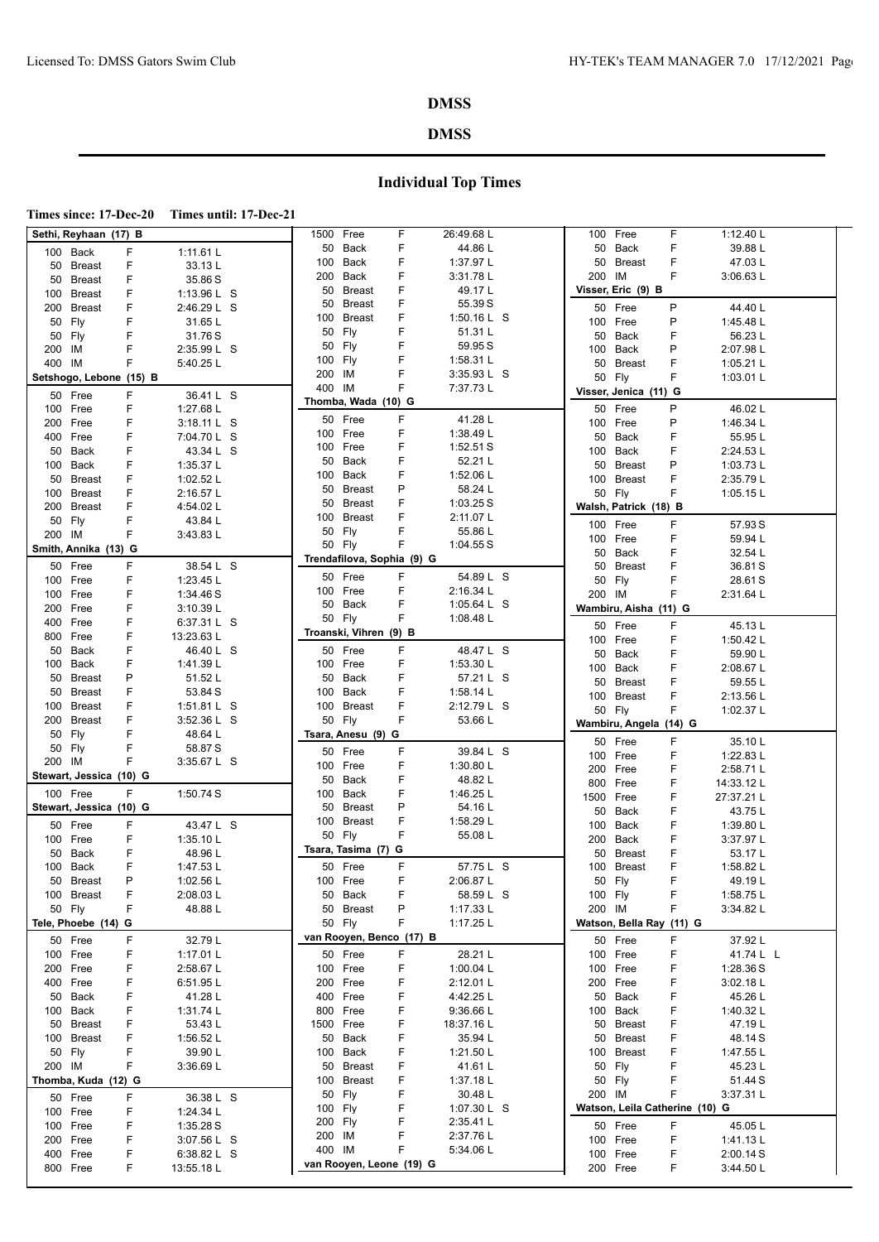### **DMSS**

|--|--|--|

| Sethi, Reyhaan (17) B          |                           | 1500 Free<br>F               | 26:49.68 L               | F<br>100 Free                            | 1:12.40 L              |
|--------------------------------|---------------------------|------------------------------|--------------------------|------------------------------------------|------------------------|
| F<br>100 Back                  | 1:11.61 L                 | <b>Back</b><br>F<br>50       | 44.86 L                  | 50 Back<br>F                             | 39.88 L                |
| F<br>50 Breast                 | 33.13L                    | <b>Back</b><br>F<br>100      | 1:37.97 L                | Breast<br>F<br>50                        | 47.03L                 |
| F<br>50 Breast                 | 35.86 S                   | F<br>200<br>Back             | 3:31.78 L                | 200 IM<br>F                              | 3:06.63 L              |
| F<br>100 Breast                | 1:13.96 L S               | F<br>50<br><b>Breast</b>     | 49.17L                   | Visser, Eric (9) B                       |                        |
| F<br>200 Breast                | 2:46.29 L S               | F<br><b>Breast</b><br>50     | 55.39 S                  | 50 Free<br>P                             | 44.40 L                |
| F<br>50 Fly                    | 31.65L                    | F<br><b>Breast</b><br>100    | 1:50.16 L S              | 100 Free<br>P                            | 1:45.48 L              |
| F<br>50 Fly                    | 31.76S                    | F<br>50<br>Fly               | 51.31 L                  | F<br>Back<br>50                          | 56.23L                 |
| F<br>200 IM                    | 2:35.99 L S               | Fly<br>F<br>50               | 59.95 S                  | 100 Back<br>P                            | 2:07.98 L              |
| 400 IM<br>F                    | 5:40.25 L                 | F<br>Fly<br>100              | 1:58.31 L                | <b>Breast</b><br>F<br>50                 | 1:05.21 $L$            |
| Setshogo, Lebone (15) B        |                           | F<br>200<br>ΙM               | 3:35.93 L S              | F<br>50 Fly                              | 1:03.01 $L$            |
|                                |                           | ΙM<br>F<br>400               | 7:37.73 L                | Visser, Jenica (11) G                    |                        |
| F<br>50 Free                   | 36.41 L S<br>1:27.68 L    | Thomba, Wada (10) G          |                          | P                                        |                        |
| F<br>100 Free<br>F             |                           | F<br>50 Free                 | 41.28 L                  | 50 Free<br>P                             | 46.02L                 |
| 200 Free                       | 3:18.11 L S               | F<br>100 Free                | 1:38.49 L                | 100 Free<br>F                            | 1:46.34 L              |
| F<br>400 Free                  | 7:04.70 L S               | Free<br>F<br>100             | 1:52.51S                 | 50<br>Back                               | 55.95 L                |
| F<br>50 Back                   | 43.34 L S                 | <b>Back</b><br>F<br>50       | 52.21 L                  | F<br>Back<br>100                         | 2:24.53 L              |
| 100 Back<br>F                  | 1:35.37 L                 | F<br>Back<br>100             | 1:52.06 L                | P<br>50<br>Breast                        | 1:03.73 L              |
| F<br>50 Breast                 | 1:02.52 L                 | P<br><b>Breast</b><br>50     | 58.24 L                  | 100 Breast<br>F                          | 2:35.79 L              |
| F<br>100 Breast                | 2:16.57 L                 | F<br>50<br><b>Breast</b>     | 1:03.25 S                | F.<br>50 Fly                             | 1:05.15 $L$            |
| F<br>200 Breast                | 4:54.02 L                 | F<br><b>Breast</b><br>100    | 2:11.07 L                | Walsh, Patrick (18) B                    |                        |
| F<br>50 Fly                    | 43.84 L                   | F<br>50<br>Fly               | 55.86 L                  | 100 Free<br>F.                           | 57.93 S                |
| F<br>200 IM                    | 3:43.83 L                 | 50 Fly<br>F                  | 1:04.55S                 | F<br>100 Free                            | 59.94 L                |
| Smith, Annika (13) G           |                           | Trendafilova, Sophia (9) G   |                          | F<br>50 Back                             | 32.54 L                |
| F<br>50 Free                   | 38.54 L S                 |                              |                          | F<br>50<br>Breast                        | 36.81 S                |
| F<br>100 Free                  | 1:23.45 L                 | F<br>50 Free                 | 54.89 L S                | F<br>50 Fly                              | 28.61 S                |
| 100 Free<br>F                  | 1:34.46 S                 | F<br>100<br>Free             | 2:16.34 L                | F<br>200 IM                              | 2:31.64 L              |
| F<br>200 Free                  | 3:10.39 L                 | F<br>50<br>Back              | 1:05.64 $L$ S            | Wambiru, Aisha (11) G                    |                        |
| F<br>400 Free                  | 6:37.31 L S               | F<br>50 Fly                  | 1:08.48 L                | F<br>50 Free                             | 45.13L                 |
| F<br>800 Free                  | 13:23.63 L                | Troanski, Vihren (9) B       |                          | 100 Free<br>F                            | 1:50.42 L              |
| F<br>50 Back                   | 46.40 L S                 | F<br>50 Free                 | 48.47 L S                | F<br>Back<br>50                          | 59.90L                 |
| F<br>100 Back                  | 1:41.39 L                 | 100 Free<br>F                | 1:53.30 L                | F<br>Back<br>100                         | 2:08.67 L              |
| P<br>50 Breast                 | 51.52L                    | Back<br>F<br>50              | 57.21 L S                | F<br><b>Breast</b><br>50                 | 59.55L                 |
| F<br>50 Breast                 | 53.84 S                   | F<br>Back<br>100             | 1:58.14 $L$              | F<br>100<br>Breast                       | 2:13.56 L              |
|                                |                           |                              |                          |                                          |                        |
| F<br>100 Breast                | 1:51.81 $L$ S             | F<br>100<br><b>Breast</b>    | 2:12.79 L S              | 50 Fly<br>F                              | 1:02.37 L              |
| F<br>200 Breast                | 3:52.36 L S               | F<br>50 Fly                  | 53.66 L                  | Wambiru, Angela (14) G                   |                        |
| F<br>50 Fly                    | 48.64 L                   | Tsara, Anesu (9) G           |                          | F                                        |                        |
| F<br>50 Fly                    | 58.87 S                   | F<br>50 Free                 | 39.84 L S                | 50 Free<br>F                             | 35.10L                 |
| F<br>200 IM                    | 3:35.67 L S               | F<br>100 Free                | 1:30.80 L                | 100 Free<br>F<br>200<br>Free             | 1:22.83 L              |
| Stewart, Jessica (10) G        |                           | F<br>50<br>Back              | 48.82L                   | F<br>800<br>Free                         | 2:58.71L<br>14:33.12 L |
| F<br>100 Free                  | 1:50.74 S                 | F<br>100<br>Back             | 1:46.25 L                | 1500<br>F<br>Free                        | 27:37.21 L             |
| Stewart, Jessica (10) G        |                           | P<br>50<br><b>Breast</b>     | 54.16 L                  | Back<br>F<br>50                          | 43.75 L                |
| F<br>50 Free                   | 43.47 L S                 | F<br>100<br><b>Breast</b>    | 1:58.29 L                | F<br>100<br>Back                         |                        |
| 100 Free<br>F                  | 1:35.10L                  | F<br>50 Fly                  | 55.08 L                  | Back<br>F<br>200                         | 1:39.80 L<br>3:37.97 L |
| F<br>50 Back                   | 48.96L                    | Tsara, Tasima (7) G          |                          | F<br>50<br>Breast                        | 53.17L                 |
| F<br>100 Back                  | 1:47.53 L                 | F<br>50 Free                 | 57.75 L S                | F<br>100<br>Breast                       | 1:58.82 L              |
| P<br>50 Breast                 | 1:02.56 $L$               | F<br>100 Free                | 2:06.87 L                | F<br>50 Fly                              | 49.19L                 |
| 100 Breast<br>F                |                           | 50 Back<br>F                 |                          | $\mathsf F$                              |                        |
| F<br>50 Fly                    | 2:08.03 L<br>48.88 L      | 50 Breast<br>P               | 58.59 L S<br>1:17.33 $L$ | 100 Fly<br>F<br>200 IM                   | 1:58.75 L<br>3:34.82L  |
| Tele, Phoebe (14) G            |                           | 50 Fly<br>F                  | 1:17.25 $L$              | Watson, Bella Ray (11) G                 |                        |
|                                |                           | van Rooyen, Benco (17) B     |                          |                                          |                        |
| 50 Free<br>F                   | 32.79L                    |                              |                          | 50 Free<br>F                             | 37.92L                 |
| F<br>100 Free                  | 1:17.01L                  | F<br>50 Free                 | 28.21 L                  | 100 Free<br>F                            | 41.74 L L              |
| F<br>200 Free<br>400 Free      | 2:58.67 L                 | 100 Free<br>F                | 1:00.04 L                | F<br>100 Free                            | 1:28.36 S              |
| F<br>F                         | 6:51.95L                  | F<br>200 Free<br>F           | 2:12.01 L                | F<br>200 Free<br>F                       | 3:02.18 L<br>45.26 L   |
| 50 Back<br>100 Back<br>F       | 41.28 L<br>1:31.74 L      | 400 Free<br>800<br>Free<br>F | 4:42.25 L                | 50 Back<br>100 Back<br>F                 | 1:40.32 L              |
| F<br>50 Breast                 | 53.43L                    | F<br>Free<br>1500            | 9:36.66 L                | 50 Breast<br>F                           | 47.19L                 |
| F<br>100 Breast                | 1:56.52 L                 | 50<br>Back<br>F              | 18:37.16 L               | 50 Breast<br>F                           |                        |
| 50 Fly<br>F                    |                           | F<br>100<br>Back             | 35.94 L                  | 100 Breast<br>F                          | 48.14 S                |
|                                | 39.90 L                   |                              | 1:21.50 L                | F                                        | 1:47.55 L              |
| F<br>200 IM                    | 3:36.69 L                 | F<br>50<br><b>Breast</b>     | 41.61 L                  | 50 Fly<br>F                              | 45.23L                 |
| Thomba, Kuda (12) G            |                           | F<br>100 Breast<br>F         | 1:37.18 L                | 50 Fly<br>F                              | 51.44 S                |
| F<br>50 Free                   | 36.38 L S                 | Fly<br>50<br>100 Fly<br>F    | 30.48 L                  | 200 IM<br>Watson, Leila Catherine (10) G | 3:37.31L               |
| 100 Free<br>F                  | 1:24.34 L                 | 200 Fly<br>F                 | 1:07.30 L S<br>2:35.41 L |                                          |                        |
| F<br>100 Free                  | 1:35.28 S                 | 200<br>IM<br>F               | 2:37.76 L                | F<br>50 Free                             | 45.05L                 |
| F<br>200 Free                  | 3:07.56 L S               | 400 IM<br>F                  | 5:34.06 L                | F<br>100 Free                            | 1:41.13L               |
| 400 Free<br>F<br>F<br>800 Free | 6:38.82 L S<br>13:55.18 L | van Rooyen, Leone (19) G     |                          | 100 Free<br>F<br>F<br>200 Free           | 2:00.14 S<br>3:44.50 L |